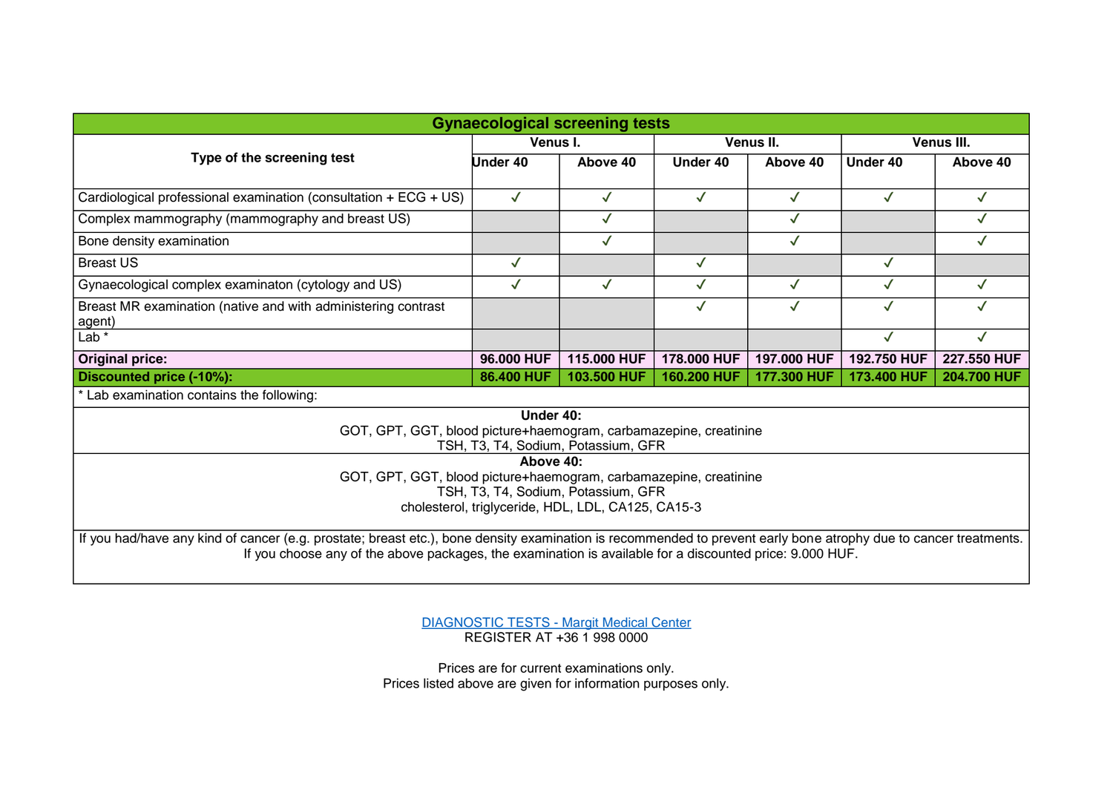| <b>Gynaecological screening tests</b>                                                                                                                                                                                                                                        |              |              |              |              |              |              |
|------------------------------------------------------------------------------------------------------------------------------------------------------------------------------------------------------------------------------------------------------------------------------|--------------|--------------|--------------|--------------|--------------|--------------|
| Type of the screening test                                                                                                                                                                                                                                                   | Venus I.     |              | Venus II.    |              | Venus III.   |              |
|                                                                                                                                                                                                                                                                              | Under 40     | Above 40     | Under 40     | Above 40     | Under 40     | Above 40     |
| Cardiological professional examination (consultation + ECG + US)                                                                                                                                                                                                             | $\checkmark$ | $\checkmark$ | $\checkmark$ | ✓            | $\checkmark$ | $\checkmark$ |
| Complex mammography (mammography and breast US)                                                                                                                                                                                                                              |              | $\checkmark$ |              | $\checkmark$ |              | ✓            |
| Bone density examination                                                                                                                                                                                                                                                     |              | $\checkmark$ |              | $\checkmark$ |              | ✓            |
| <b>Breast US</b>                                                                                                                                                                                                                                                             | $\checkmark$ |              | $\checkmark$ |              | $\checkmark$ |              |
| Gynaecological complex examinaton (cytology and US)                                                                                                                                                                                                                          | $\checkmark$ | $\checkmark$ | $\checkmark$ | $\checkmark$ | ✓            | $\checkmark$ |
| Breast MR examination (native and with administering contrast<br>agent)                                                                                                                                                                                                      |              |              | $\checkmark$ | $\checkmark$ | $\checkmark$ | $\checkmark$ |
| Lab $*$                                                                                                                                                                                                                                                                      |              |              |              |              | $\checkmark$ | $\checkmark$ |
| <b>Original price:</b>                                                                                                                                                                                                                                                       | 96.000 HUF   | 115,000 HUF  | 178,000 HUF  | 197,000 HUF  | 192.750 HUF  | 227.550 HUF  |
| Discounted price (-10%):                                                                                                                                                                                                                                                     | 86.400 HUF   | 103.500 HUF  | 160.200 HUF  | 177.300 HUF  | 173.400 HUF  | 204.700 HUF  |
| * Lab examination contains the following:                                                                                                                                                                                                                                    |              |              |              |              |              |              |
| Under 40:<br>GOT, GPT, GGT, blood picture+haemogram, carbamazepine, creatinine<br>TSH, T3, T4, Sodium, Potassium, GFR                                                                                                                                                        |              |              |              |              |              |              |
| Above 40:<br>GOT, GPT, GGT, blood picture+haemogram, carbamazepine, creatinine<br>TSH, T3, T4, Sodium, Potassium, GFR                                                                                                                                                        |              |              |              |              |              |              |
| cholesterol, triglyceride, HDL, LDL, CA125, CA15-3                                                                                                                                                                                                                           |              |              |              |              |              |              |
| If you had/have any kind of cancer (e.g. prostate; breast etc.), bone density examination is recommended to prevent early bone atrophy due to cancer treatments.<br>If you choose any of the above packages, the examination is available for a discounted price: 9.000 HUF. |              |              |              |              |              |              |

[DIAGNOSTIC TESTS -](https://margitmedical.hu/en/) Margit Medical Center REGISTER AT +36 1 998 0000

Prices are for current examinations only. Prices listed above are given for information purposes only.